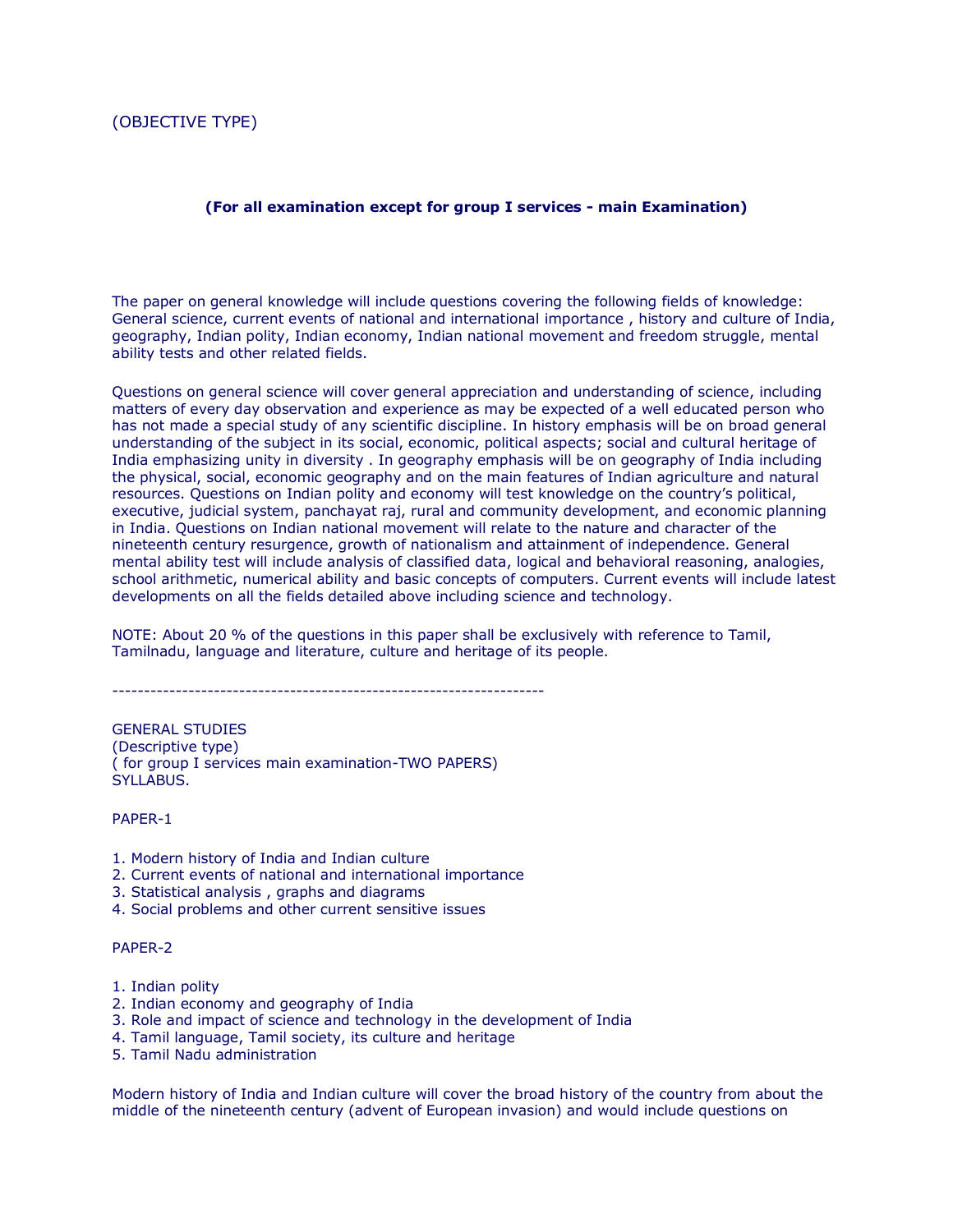## (OBJECTIVE TYPE)

## **(For all examination except for group I services - main Examination)**

The paper on general knowledge will include questions covering the following fields of knowledge: General science, current events of national and international importance , history and culture of India, geography, Indian polity, Indian economy, Indian national movement and freedom struggle, mental ability tests and other related fields.

Questions on general science will cover general appreciation and understanding of science, including matters of every day observation and experience as may be expected of a well educated person who has not made a special study of any scientific discipline. In history emphasis will be on broad general understanding of the subject in its social, economic, political aspects; social and cultural heritage of India emphasizing unity in diversity . In geography emphasis will be on geography of India including the physical, social, economic geography and on the main features of Indian agriculture and natural resources. Questions on Indian polity and economy will test knowledge on the country's political, executive, judicial system, panchayat raj, rural and community development, and economic planning in India. Questions on Indian national movement will relate to the nature and character of the nineteenth century resurgence, growth of nationalism and attainment of independence. General mental ability test will include analysis of classified data, logical and behavioral reasoning, analogies, school arithmetic, numerical ability and basic concepts of computers. Current events will include latest developments on all the fields detailed above including science and technology.

NOTE: About 20 % of the questions in this paper shall be exclusively with reference to Tamil, Tamilnadu, language and literature, culture and heritage of its people.

 $-$ 

GENERAL STUDIES (Descriptive type) ( for group I services main examination-TWO PAPERS) SYLLABUS.

## PAPER-1

- 1. Modern history of India and Indian culture
- 2. Current events of national and international importance
- 3. Statistical analysis , graphs and diagrams
- 4. Social problems and other current sensitive issues

## PAPER-2

- 1. Indian polity
- 2. Indian economy and geography of India
- 3. Role and impact of science and technology in the development of India
- 4. Tamil language, Tamil society, its culture and heritage
- 5. Tamil Nadu administration

Modern history of India and Indian culture will cover the broad history of the country from about the middle of the nineteenth century (advent of European invasion) and would include questions on